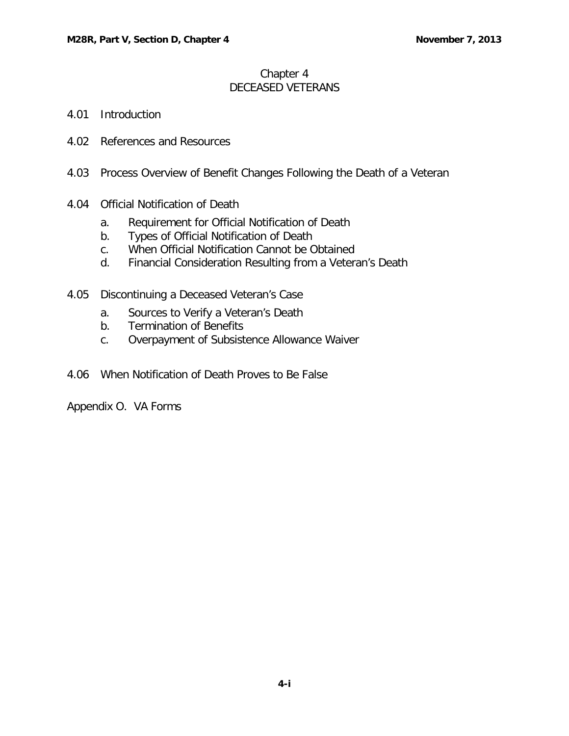## Chapter 4 DECEASED VETERANS

- 4.01 [Introduction](#page-1-0)
- 4.02 [References and Resources](#page-1-1)
- 4.03 [Process Overview of Benefit Changes Following the Death of a Veteran](#page-1-2)
- 4.04 [Official Notification of Death](#page-1-3)
	- a. [Requirement for Official Notification of Death](#page-1-4)
	- b. [Types of Official Notification of Death](#page-1-5)
	- c. [When Official Notification Cannot be Obtained](#page-2-0)
	- d. [Financial Consideration Resulting from a Veteran's Death](#page-2-1)
- 4.05 [Discontinuing a Deceased Veteran's Case](#page-2-2)
	- a. [Sources to Verify a Veteran's Death](#page-2-3)
	- b. [Termination of Benefits](#page-3-0)
	- c. [Overpayment of Subsistence Allowance Waiver](#page-3-1)
- 4.06 [When Notification of Death Proves to Be False](#page-4-0)

Appendix O. VA Forms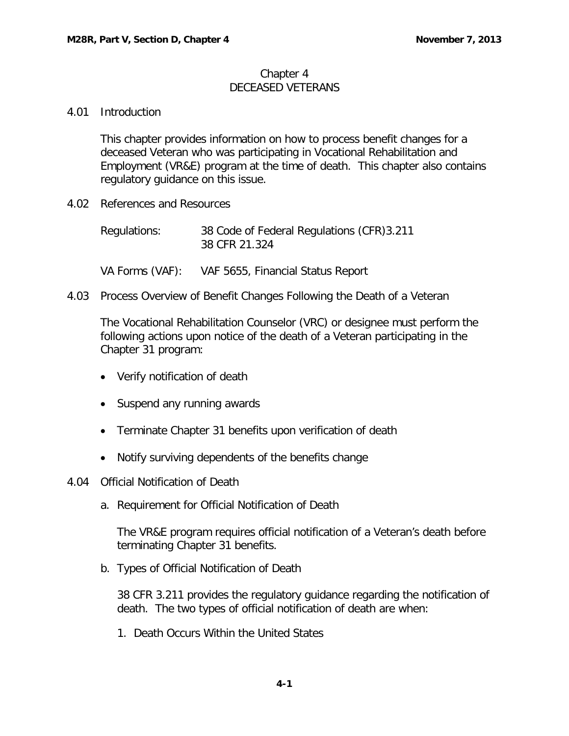## Chapter 4 DECEASED VETERANS

## <span id="page-1-0"></span>4.01 Introduction

This chapter provides information on how to process benefit changes for a deceased Veteran who was participating in Vocational Rehabilitation and Employment (VR&E) program at the time of death. This chapter also contains regulatory guidance on this issue.

<span id="page-1-1"></span>4.02 References and Resources

| Regulations: | 38 Code of Federal Regulations (CFR) 3.211 |
|--------------|--------------------------------------------|
|              | 38 CFR 21.324                              |

- VA Forms (VAF): VAF 5655, Financial Status Report
- <span id="page-1-2"></span>4.03 Process Overview of Benefit Changes Following the Death of a Veteran

The Vocational Rehabilitation Counselor (VRC) or designee must perform the following actions upon notice of the death of a Veteran participating in the Chapter 31 program:

- Verify notification of death
- Suspend any running awards
- Terminate Chapter 31 benefits upon verification of death
- Notify surviving dependents of the benefits change
- <span id="page-1-4"></span><span id="page-1-3"></span>4.04 Official Notification of Death
	- a. Requirement for Official Notification of Death

The VR&E program requires official notification of a Veteran's death before terminating Chapter 31 benefits.

<span id="page-1-5"></span>b. Types of Official Notification of Death

38 CFR 3.211 provides the regulatory guidance regarding the notification of death. The two types of official notification of death are when:

1. Death Occurs Within the United States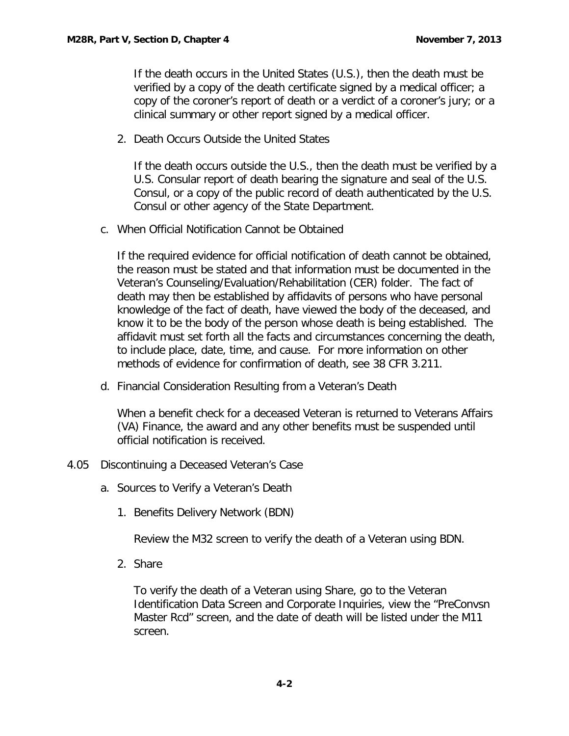If the death occurs in the United States (U.S.), then the death must be verified by a copy of the death certificate signed by a medical officer; a copy of the coroner's report of death or a verdict of a coroner's jury; or a clinical summary or other report signed by a medical officer.

2. Death Occurs Outside the United States

If the death occurs outside the U.S., then the death must be verified by a U.S. Consular report of death bearing the signature and seal of the U.S. Consul, or a copy of the public record of death authenticated by the U.S. Consul or other agency of the State Department.

<span id="page-2-0"></span>c. When Official Notification Cannot be Obtained

If the required evidence for official notification of death cannot be obtained, the reason must be stated and that information must be documented in the Veteran's Counseling/Evaluation/Rehabilitation (CER) folder. The fact of death may then be established by affidavits of persons who have personal knowledge of the fact of death, have viewed the body of the deceased, and know it to be the body of the person whose death is being established. The affidavit must set forth all the facts and circumstances concerning the death, to include place, date, time, and cause. For more information on other methods of evidence for confirmation of death, see 38 CFR 3.211.

<span id="page-2-1"></span>d. Financial Consideration Resulting from a Veteran's Death

When a benefit check for a deceased Veteran is returned to Veterans Affairs (VA) Finance, the award and any other benefits must be suspended until official notification is received.

- <span id="page-2-3"></span><span id="page-2-2"></span>4.05 Discontinuing a Deceased Veteran's Case
	- a. Sources to Verify a Veteran's Death
		- 1. Benefits Delivery Network (BDN)

Review the M32 screen to verify the death of a Veteran using BDN.

2. Share

To verify the death of a Veteran using Share, go to the Veteran Identification Data Screen and Corporate Inquiries, view the "PreConvsn Master Rcd" screen, and the date of death will be listed under the M11 screen.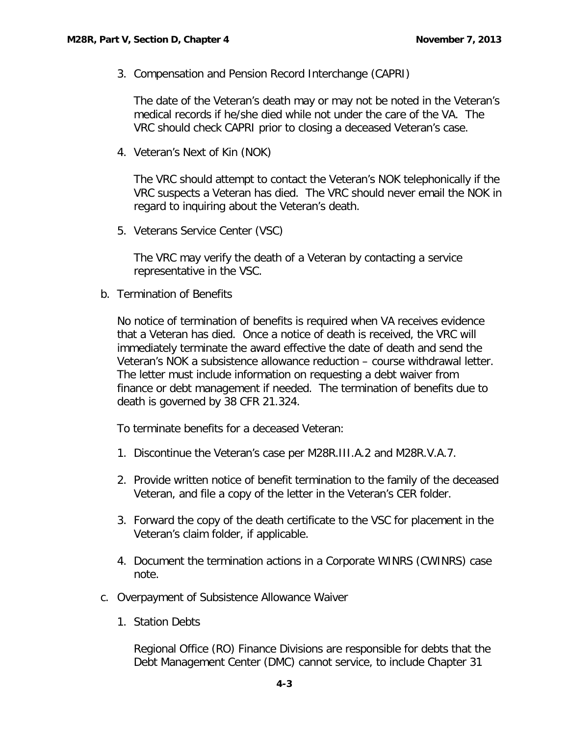3. Compensation and Pension Record Interchange (CAPRI)

The date of the Veteran's death may or may not be noted in the Veteran's medical records if he/she died while not under the care of the VA. The VRC should check CAPRI prior to closing a deceased Veteran's case.

4. Veteran's Next of Kin (NOK)

The VRC should attempt to contact the Veteran's NOK telephonically if the VRC suspects a Veteran has died. The VRC should never email the NOK in regard to inquiring about the Veteran's death.

5. Veterans Service Center (VSC)

The VRC may verify the death of a Veteran by contacting a service representative in the VSC.

<span id="page-3-0"></span>b. Termination of Benefits

No notice of termination of benefits is required when VA receives evidence that a Veteran has died. Once a notice of death is received, the VRC will immediately terminate the award effective the date of death and send the Veteran's NOK a subsistence allowance reduction – course withdrawal letter. The letter must include information on requesting a debt waiver from finance or debt management if needed. The termination of benefits due to death is governed by 38 CFR 21.324.

To terminate benefits for a deceased Veteran:

- 1. Discontinue the Veteran's case per M28R.III.A.2 and M28R.V.A.7.
- 2. Provide written notice of benefit termination to the family of the deceased Veteran, and file a copy of the letter in the Veteran's CER folder.
- 3. Forward the copy of the death certificate to the VSC for placement in the Veteran's claim folder, if applicable.
- 4. Document the termination actions in a Corporate WINRS (CWINRS) case note.
- <span id="page-3-1"></span>c. Overpayment of Subsistence Allowance Waiver
	- 1. Station Debts

Regional Office (RO) Finance Divisions are responsible for debts that the Debt Management Center (DMC) cannot service, to include Chapter 31